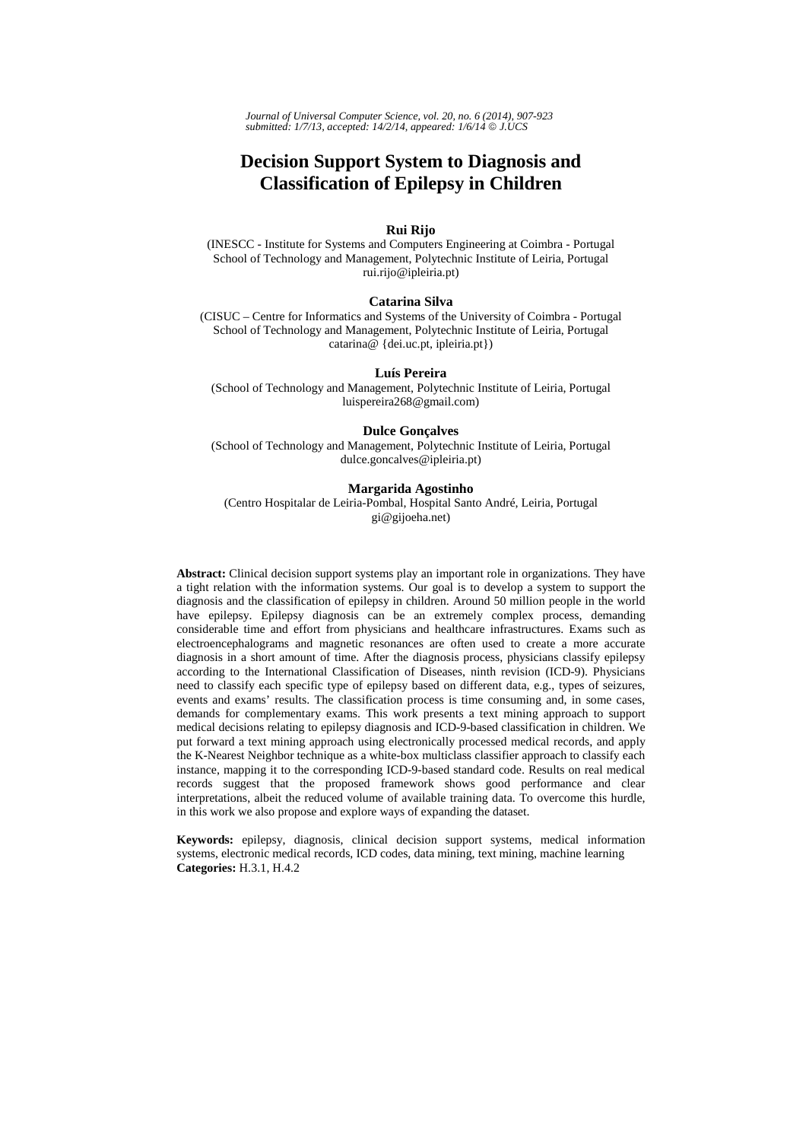*Journal of Universal Computer Science, vol. 20, no. 6 (2014), 907-923 submitted: 1/7/13, accepted: 14/2/14, appeared: 1/6/14* © *J.UCS*

# **Decision Support System to Diagnosis and Classification of Epilepsy in Children**

### **Rui Rijo**

(INESCC - Institute for Systems and Computers Engineering at Coimbra - Portugal School of Technology and Management, Polytechnic Institute of Leiria, Portugal rui.rijo@ipleiria.pt)

#### **Catarina Silva**

(CISUC – Centre for Informatics and Systems of the University of Coimbra - Portugal School of Technology and Management, Polytechnic Institute of Leiria, Portugal catarina@ {dei.uc.pt, ipleiria.pt})

#### **Luís Pereira**

(School of Technology and Management, Polytechnic Institute of Leiria, Portugal luispereira268@gmail.com)

#### **Dulce Gonçalves**

(School of Technology and Management, Polytechnic Institute of Leiria, Portugal dulce.goncalves@ipleiria.pt)

#### **Margarida Agostinho**

(Centro Hospitalar de Leiria-Pombal, Hospital Santo André, Leiria, Portugal gi@gijoeha.net)

**Abstract:** Clinical decision support systems play an important role in organizations. They have a tight relation with the information systems. Our goal is to develop a system to support the diagnosis and the classification of epilepsy in children. Around 50 million people in the world have epilepsy. Epilepsy diagnosis can be an extremely complex process, demanding considerable time and effort from physicians and healthcare infrastructures. Exams such as electroencephalograms and magnetic resonances are often used to create a more accurate diagnosis in a short amount of time. After the diagnosis process, physicians classify epilepsy according to the International Classification of Diseases, ninth revision (ICD-9). Physicians need to classify each specific type of epilepsy based on different data, e.g., types of seizures, events and exams' results. The classification process is time consuming and, in some cases, demands for complementary exams. This work presents a text mining approach to support medical decisions relating to epilepsy diagnosis and ICD-9-based classification in children. We put forward a text mining approach using electronically processed medical records, and apply the K-Nearest Neighbor technique as a white-box multiclass classifier approach to classify each instance, mapping it to the corresponding ICD-9-based standard code. Results on real medical records suggest that the proposed framework shows good performance and clear interpretations, albeit the reduced volume of available training data. To overcome this hurdle, in this work we also propose and explore ways of expanding the dataset.

**Keywords:** epilepsy, diagnosis, clinical decision support systems, medical information systems, electronic medical records, ICD codes, data mining, text mining, machine learning **Categories:** H.3.1, H.4.2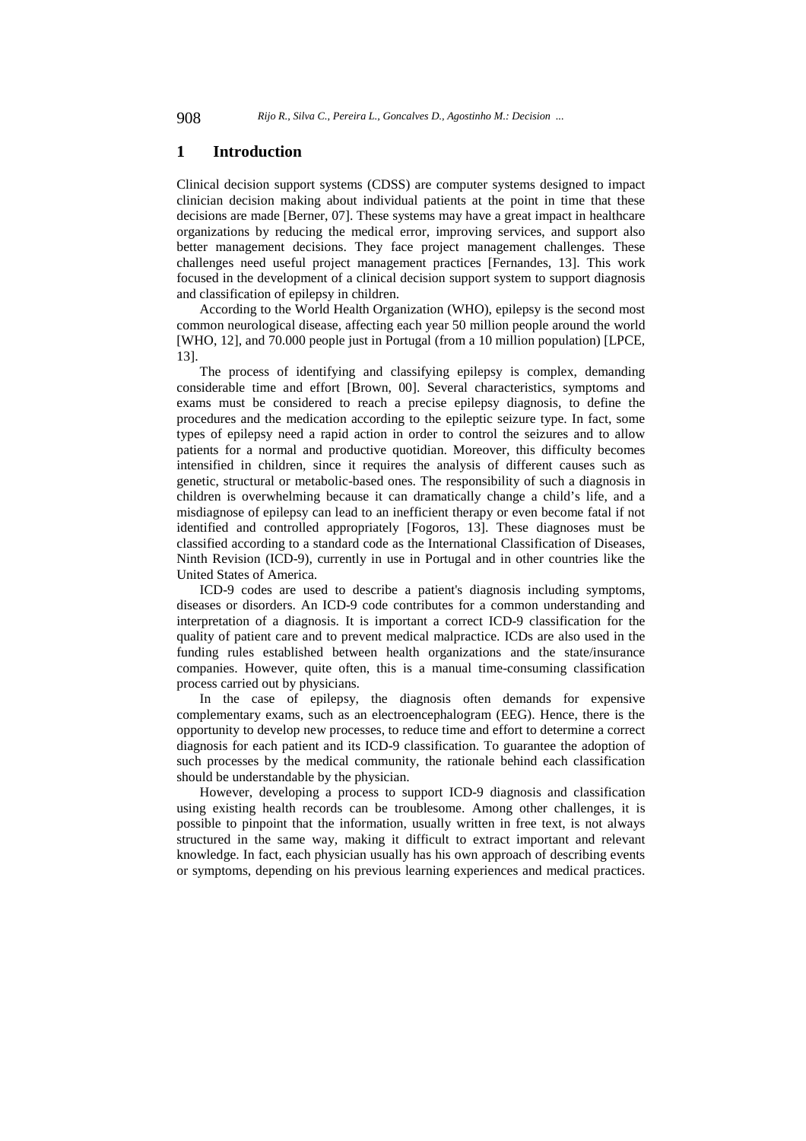# **1 Introduction**

Clinical decision support systems (CDSS) are computer systems designed to impact clinician decision making about individual patients at the point in time that these decisions are made [Berner, 07]. These systems may have a great impact in healthcare organizations by reducing the medical error, improving services, and support also better management decisions. They face project management challenges. These challenges need useful project management practices [Fernandes, 13]. This work focused in the development of a clinical decision support system to support diagnosis and classification of epilepsy in children.

According to the World Health Organization (WHO), epilepsy is the second most common neurological disease, affecting each year 50 million people around the world [WHO, 12], and 70.000 people just in Portugal (from a 10 million population) [LPCE, 13].

The process of identifying and classifying epilepsy is complex, demanding considerable time and effort [Brown, 00]. Several characteristics, symptoms and exams must be considered to reach a precise epilepsy diagnosis, to define the procedures and the medication according to the epileptic seizure type. In fact, some types of epilepsy need a rapid action in order to control the seizures and to allow patients for a normal and productive quotidian. Moreover, this difficulty becomes intensified in children, since it requires the analysis of different causes such as genetic, structural or metabolic-based ones. The responsibility of such a diagnosis in children is overwhelming because it can dramatically change a child's life, and a misdiagnose of epilepsy can lead to an inefficient therapy or even become fatal if not identified and controlled appropriately [Fogoros, 13]. These diagnoses must be classified according to a standard code as the International Classification of Diseases, Ninth Revision (ICD-9), currently in use in Portugal and in other countries like the United States of America.

ICD-9 codes are used to describe a patient's diagnosis including symptoms, diseases or disorders. An ICD-9 code contributes for a common understanding and interpretation of a diagnosis. It is important a correct ICD-9 classification for the quality of patient care and to prevent medical malpractice. ICDs are also used in the funding rules established between health organizations and the state/insurance companies. However, quite often, this is a manual time-consuming classification process carried out by physicians.

In the case of epilepsy, the diagnosis often demands for expensive complementary exams, such as an electroencephalogram (EEG). Hence, there is the opportunity to develop new processes, to reduce time and effort to determine a correct diagnosis for each patient and its ICD-9 classification. To guarantee the adoption of such processes by the medical community, the rationale behind each classification should be understandable by the physician.

However, developing a process to support ICD-9 diagnosis and classification using existing health records can be troublesome. Among other challenges, it is possible to pinpoint that the information, usually written in free text, is not always structured in the same way, making it difficult to extract important and relevant knowledge. In fact, each physician usually has his own approach of describing events or symptoms, depending on his previous learning experiences and medical practices.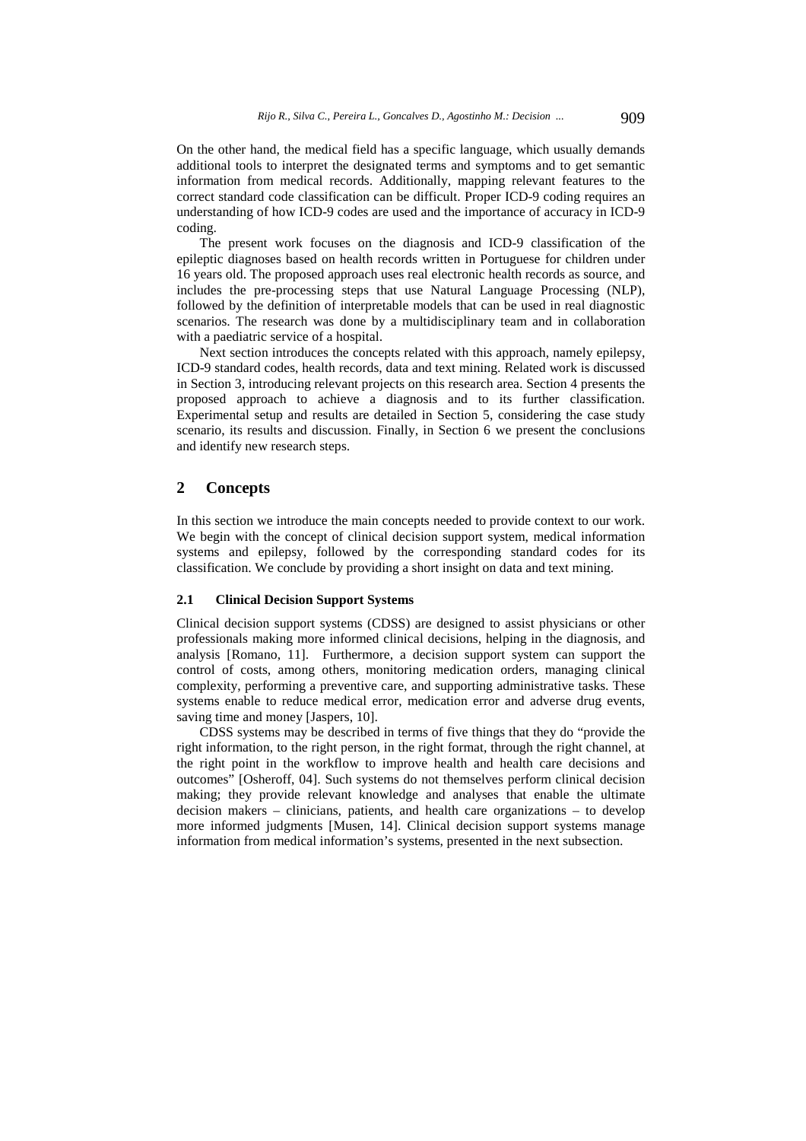On the other hand, the medical field has a specific language, which usually demands additional tools to interpret the designated terms and symptoms and to get semantic information from medical records. Additionally, mapping relevant features to the correct standard code classification can be difficult. Proper ICD-9 coding requires an understanding of how ICD-9 codes are used and the importance of accuracy in ICD-9 coding.

The present work focuses on the diagnosis and ICD-9 classification of the epileptic diagnoses based on health records written in Portuguese for children under 16 years old. The proposed approach uses real electronic health records as source, and includes the pre-processing steps that use Natural Language Processing (NLP), followed by the definition of interpretable models that can be used in real diagnostic scenarios. The research was done by a multidisciplinary team and in collaboration with a paediatric service of a hospital.

Next section introduces the concepts related with this approach, namely epilepsy, ICD-9 standard codes, health records, data and text mining. Related work is discussed in Section 3, introducing relevant projects on this research area. Section 4 presents the proposed approach to achieve a diagnosis and to its further classification. Experimental setup and results are detailed in Section 5, considering the case study scenario, its results and discussion. Finally, in Section 6 we present the conclusions and identify new research steps.

# **2 Concepts**

In this section we introduce the main concepts needed to provide context to our work. We begin with the concept of clinical decision support system, medical information systems and epilepsy, followed by the corresponding standard codes for its classification. We conclude by providing a short insight on data and text mining.

# **2.1 Clinical Decision Support Systems**

Clinical decision support systems (CDSS) are designed to assist physicians or other professionals making more informed clinical decisions, helping in the diagnosis, and analysis [Romano, 11]. Furthermore, a decision support system can support the control of costs, among others, monitoring medication orders, managing clinical complexity, performing a preventive care, and supporting administrative tasks. These systems enable to reduce medical error, medication error and adverse drug events, saving time and money [Jaspers, 10].

CDSS systems may be described in terms of five things that they do "provide the right information, to the right person, in the right format, through the right channel, at the right point in the workflow to improve health and health care decisions and outcomes" [Osheroff, 04]. Such systems do not themselves perform clinical decision making; they provide relevant knowledge and analyses that enable the ultimate decision makers – clinicians, patients, and health care organizations – to develop more informed judgments [Musen, 14]. Clinical decision support systems manage information from medical information's systems, presented in the next subsection.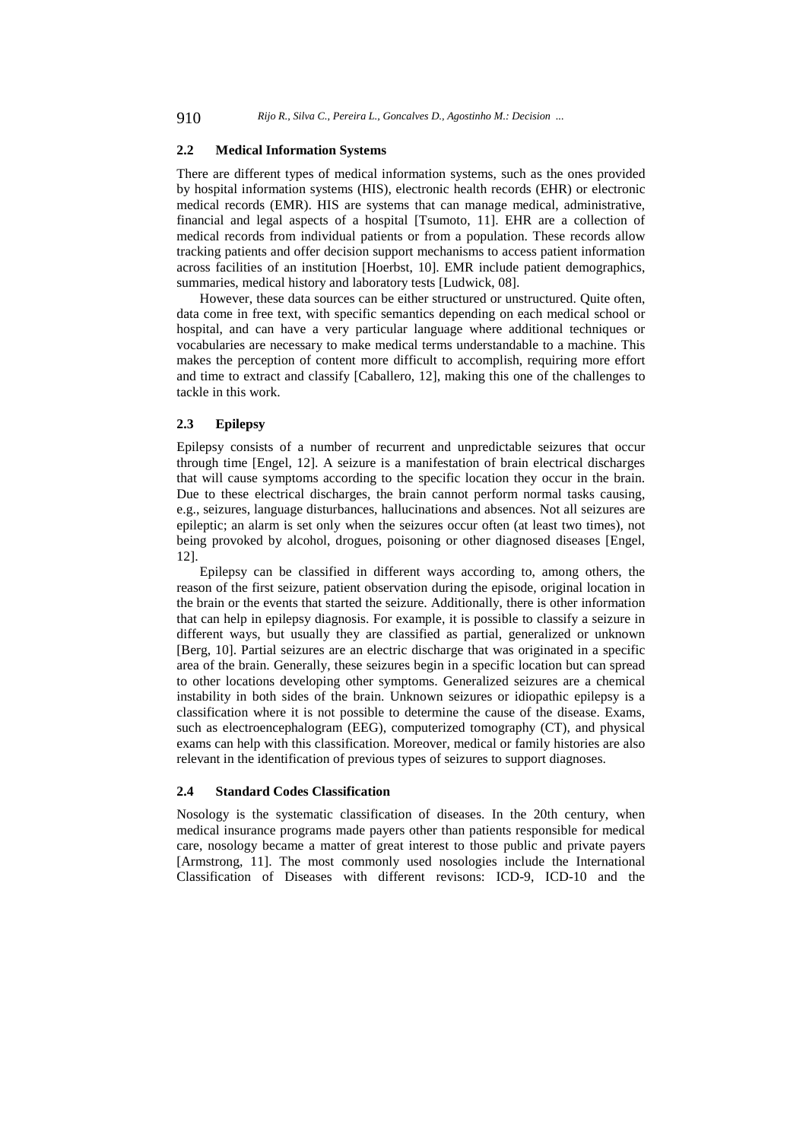#### **2.2 Medical Information Systems**

There are different types of medical information systems, such as the ones provided by hospital information systems (HIS), electronic health records (EHR) or electronic medical records (EMR). HIS are systems that can manage medical, administrative, financial and legal aspects of a hospital [Tsumoto, 11]. EHR are a collection of medical records from individual patients or from a population. These records allow tracking patients and offer decision support mechanisms to access patient information across facilities of an institution [Hoerbst, 10]. EMR include patient demographics, summaries, medical history and laboratory tests [Ludwick, 08].

However, these data sources can be either structured or unstructured. Quite often, data come in free text, with specific semantics depending on each medical school or hospital, and can have a very particular language where additional techniques or vocabularies are necessary to make medical terms understandable to a machine. This makes the perception of content more difficult to accomplish, requiring more effort and time to extract and classify [Caballero, 12], making this one of the challenges to tackle in this work.

# **2.3 Epilepsy**

Epilepsy consists of a number of recurrent and unpredictable seizures that occur through time [Engel, 12]. A seizure is a manifestation of brain electrical discharges that will cause symptoms according to the specific location they occur in the brain. Due to these electrical discharges, the brain cannot perform normal tasks causing, e.g., seizures, language disturbances, hallucinations and absences. Not all seizures are epileptic; an alarm is set only when the seizures occur often (at least two times), not being provoked by alcohol, drogues, poisoning or other diagnosed diseases [Engel, 12].

Epilepsy can be classified in different ways according to, among others, the reason of the first seizure, patient observation during the episode, original location in the brain or the events that started the seizure. Additionally, there is other information that can help in epilepsy diagnosis. For example, it is possible to classify a seizure in different ways, but usually they are classified as partial, generalized or unknown [Berg, 10]. Partial seizures are an electric discharge that was originated in a specific area of the brain. Generally, these seizures begin in a specific location but can spread to other locations developing other symptoms. Generalized seizures are a chemical instability in both sides of the brain. Unknown seizures or idiopathic epilepsy is a classification where it is not possible to determine the cause of the disease. Exams, such as electroencephalogram (EEG), computerized tomography (CT), and physical exams can help with this classification. Moreover, medical or family histories are also relevant in the identification of previous types of seizures to support diagnoses.

# **2.4 Standard Codes Classification**

Nosology is the systematic classification of diseases. In the 20th century, when medical insurance programs made payers other than patients responsible for medical care, nosology became a matter of great interest to those public and private payers [Armstrong, 11]. The most commonly used nosologies include the International Classification of Diseases with different revisons: ICD-9, ICD-10 and the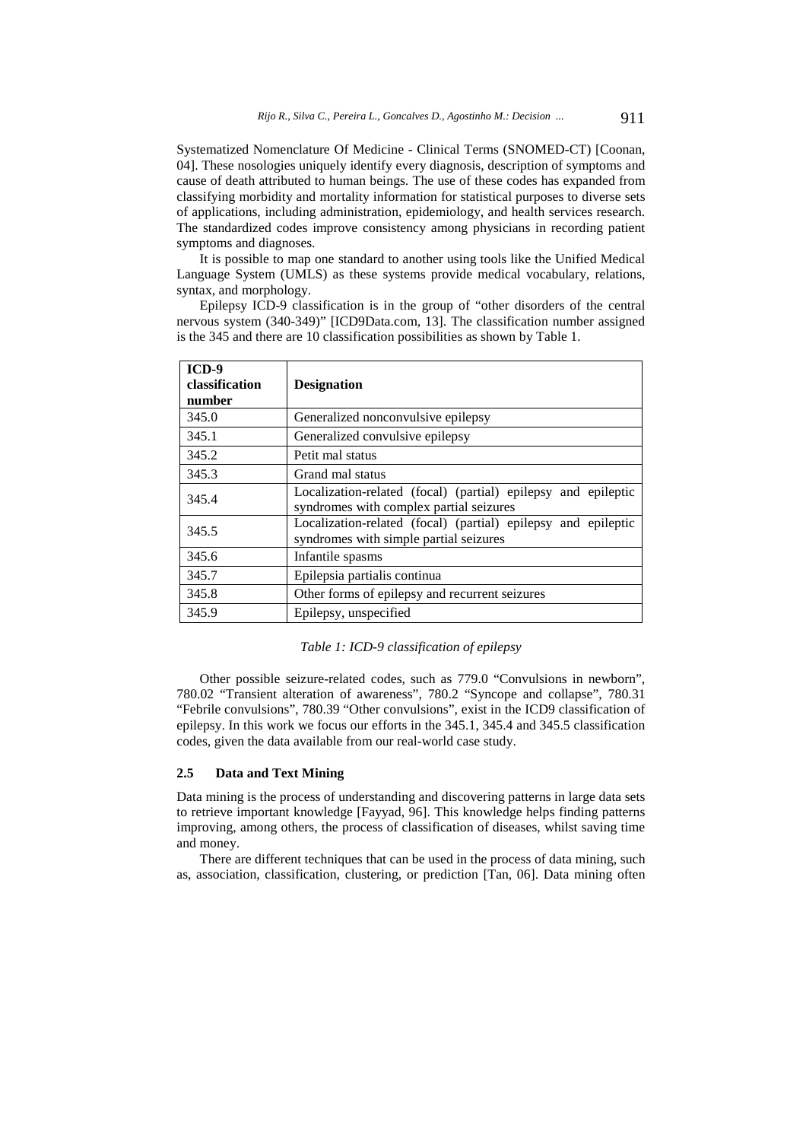Systematized Nomenclature Of Medicine - Clinical Terms (SNOMED-CT) [Coonan, 04]. These nosologies uniquely identify every diagnosis, description of symptoms and cause of death attributed to human beings. The use of these codes has expanded from classifying morbidity and mortality information for statistical purposes to diverse sets of applications, including administration, epidemiology, and health services research. The standardized codes improve consistency among physicians in recording patient symptoms and diagnoses.

It is possible to map one standard to another using tools like the Unified Medical Language System (UMLS) as these systems provide medical vocabulary, relations, syntax, and morphology.

Epilepsy ICD-9 classification is in the group of "other disorders of the central nervous system (340-349)" [ICD9Data.com, 13]. The classification number assigned is the 345 and there are 10 classification possibilities as shown by Table 1.

| $ICD-9$<br>classification | <b>Designation</b>                                                                                       |
|---------------------------|----------------------------------------------------------------------------------------------------------|
| number                    |                                                                                                          |
| 345.0                     | Generalized nonconvulsive epilepsy                                                                       |
| 345.1                     | Generalized convulsive epilepsy                                                                          |
| 345.2                     | Petit mal status                                                                                         |
| 345.3                     | Grand mal status                                                                                         |
| 345.4                     | Localization-related (focal) (partial) epilepsy and epileptic<br>syndromes with complex partial seizures |
| 345.5                     | Localization-related (focal) (partial) epilepsy and epileptic<br>syndromes with simple partial seizures  |
| 345.6                     | Infantile spasms                                                                                         |
| 345.7                     | Epilepsia partialis continua                                                                             |
| 345.8                     | Other forms of epilepsy and recurrent seizures                                                           |
| 345.9                     | Epilepsy, unspecified                                                                                    |

# *Table 1: ICD-9 classification of epilepsy*

Other possible seizure-related codes, such as 779.0 "Convulsions in newborn", 780.02 "Transient alteration of awareness", 780.2 "Syncope and collapse", 780.31 "Febrile convulsions", 780.39 "Other convulsions", exist in the ICD9 classification of epilepsy. In this work we focus our efforts in the 345.1, 345.4 and 345.5 classification codes, given the data available from our real-world case study.

#### **2.5 Data and Text Mining**

Data mining is the process of understanding and discovering patterns in large data sets to retrieve important knowledge [Fayyad, 96]. This knowledge helps finding patterns improving, among others, the process of classification of diseases, whilst saving time and money.

There are different techniques that can be used in the process of data mining, such as, association, classification, clustering, or prediction [Tan, 06]. Data mining often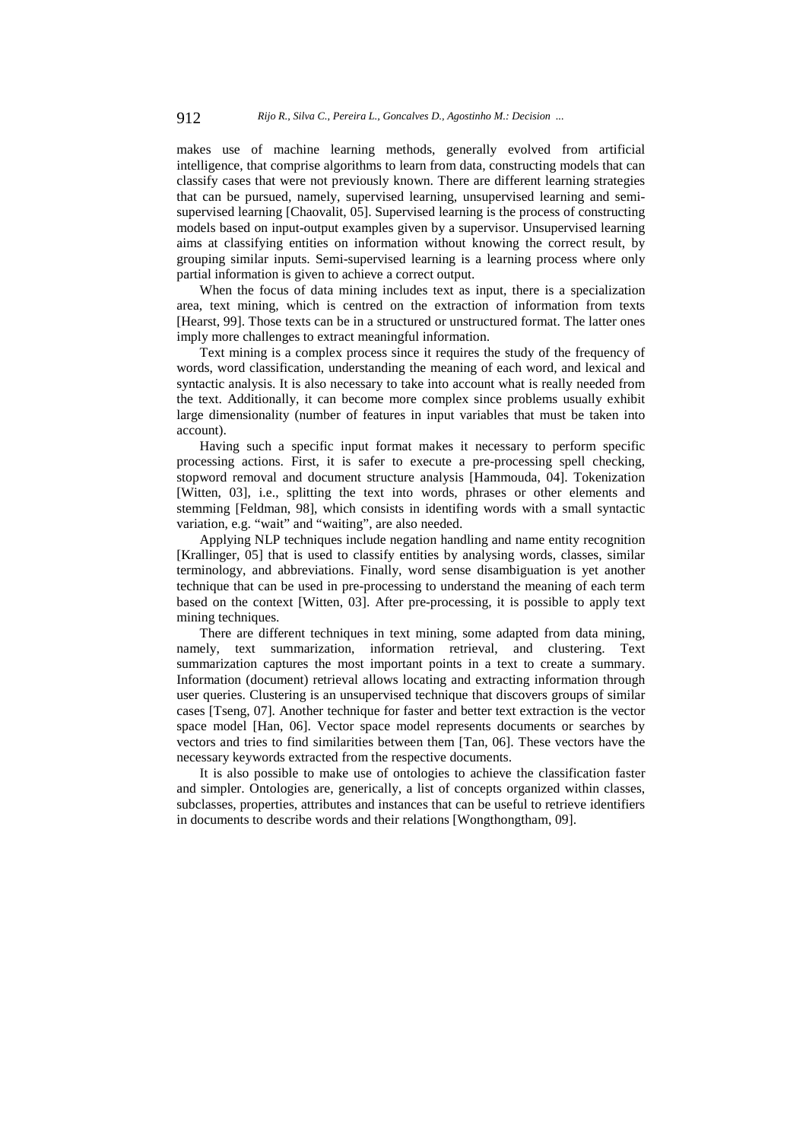makes use of machine learning methods, generally evolved from artificial intelligence, that comprise algorithms to learn from data, constructing models that can classify cases that were not previously known. There are different learning strategies that can be pursued, namely, supervised learning, unsupervised learning and semisupervised learning [Chaovalit, 05]. Supervised learning is the process of constructing models based on input-output examples given by a supervisor. Unsupervised learning aims at classifying entities on information without knowing the correct result, by grouping similar inputs. Semi-supervised learning is a learning process where only partial information is given to achieve a correct output.

When the focus of data mining includes text as input, there is a specialization area, text mining, which is centred on the extraction of information from texts [Hearst, 99]. Those texts can be in a structured or unstructured format. The latter ones imply more challenges to extract meaningful information.

Text mining is a complex process since it requires the study of the frequency of words, word classification, understanding the meaning of each word, and lexical and syntactic analysis. It is also necessary to take into account what is really needed from the text. Additionally, it can become more complex since problems usually exhibit large dimensionality (number of features in input variables that must be taken into account).

Having such a specific input format makes it necessary to perform specific processing actions. First, it is safer to execute a pre-processing spell checking, stopword removal and document structure analysis [Hammouda, 04]. Tokenization [Witten, 03], i.e., splitting the text into words, phrases or other elements and stemming [Feldman, 98], which consists in identifing words with a small syntactic variation, e.g. "wait" and "waiting", are also needed.

Applying NLP techniques include negation handling and name entity recognition [Krallinger, 05] that is used to classify entities by analysing words, classes, similar terminology, and abbreviations. Finally, word sense disambiguation is yet another technique that can be used in pre-processing to understand the meaning of each term based on the context [Witten, 03]. After pre-processing, it is possible to apply text mining techniques.

There are different techniques in text mining, some adapted from data mining, namely, text summarization, information retrieval, and clustering. Text summarization captures the most important points in a text to create a summary. Information (document) retrieval allows locating and extracting information through user queries. Clustering is an unsupervised technique that discovers groups of similar cases [Tseng, 07]. Another technique for faster and better text extraction is the vector space model [Han, 06]. Vector space model represents documents or searches by vectors and tries to find similarities between them [Tan, 06]. These vectors have the necessary keywords extracted from the respective documents.

It is also possible to make use of ontologies to achieve the classification faster and simpler. Ontologies are, generically, a list of concepts organized within classes, subclasses, properties, attributes and instances that can be useful to retrieve identifiers in documents to describe words and their relations [Wongthongtham, 09].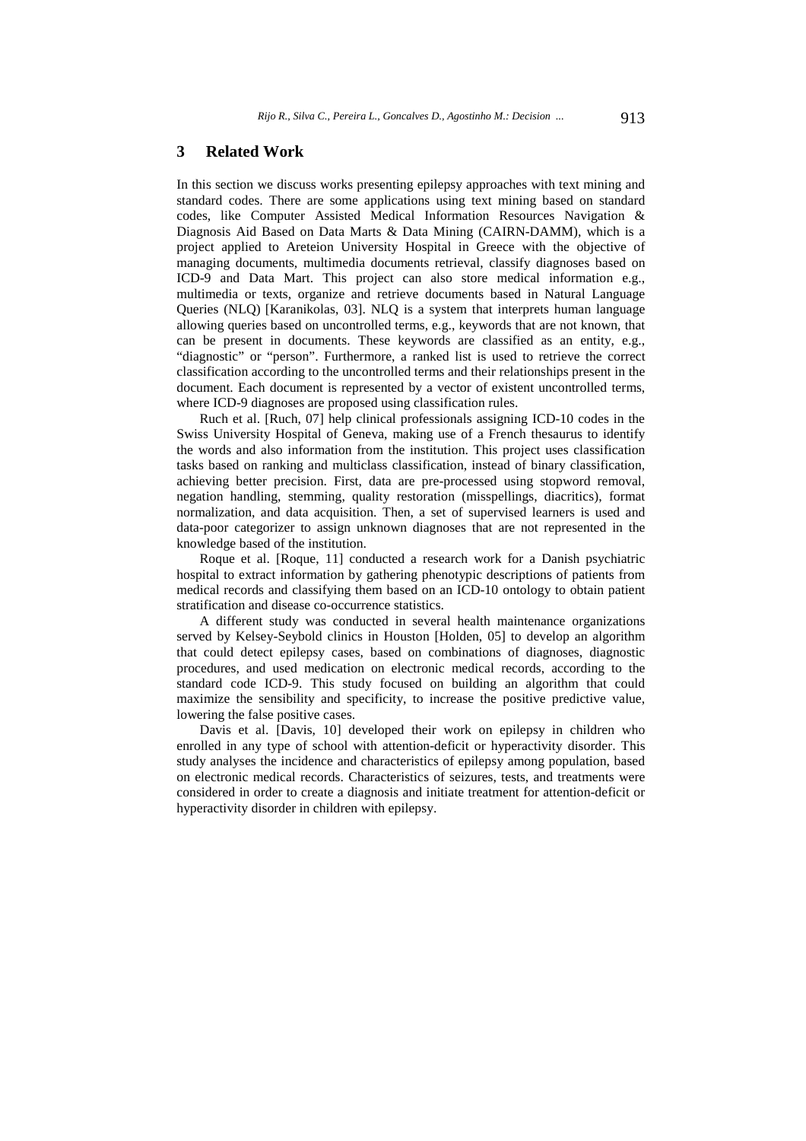# **3 Related Work**

In this section we discuss works presenting epilepsy approaches with text mining and standard codes. There are some applications using text mining based on standard codes, like Computer Assisted Medical Information Resources Navigation & Diagnosis Aid Based on Data Marts & Data Mining (CAIRN-DAMM), which is a project applied to Areteion University Hospital in Greece with the objective of managing documents, multimedia documents retrieval, classify diagnoses based on ICD-9 and Data Mart. This project can also store medical information e.g., multimedia or texts, organize and retrieve documents based in Natural Language Queries (NLQ) [Karanikolas, 03]. NLQ is a system that interprets human language allowing queries based on uncontrolled terms, e.g., keywords that are not known, that can be present in documents. These keywords are classified as an entity, e.g., "diagnostic" or "person". Furthermore, a ranked list is used to retrieve the correct classification according to the uncontrolled terms and their relationships present in the document. Each document is represented by a vector of existent uncontrolled terms, where ICD-9 diagnoses are proposed using classification rules.

Ruch et al. [Ruch, 07] help clinical professionals assigning ICD-10 codes in the Swiss University Hospital of Geneva, making use of a French thesaurus to identify the words and also information from the institution. This project uses classification tasks based on ranking and multiclass classification, instead of binary classification, achieving better precision. First, data are pre-processed using stopword removal, negation handling, stemming, quality restoration (misspellings, diacritics), format normalization, and data acquisition. Then, a set of supervised learners is used and data-poor categorizer to assign unknown diagnoses that are not represented in the knowledge based of the institution.

Roque et al. [Roque, 11] conducted a research work for a Danish psychiatric hospital to extract information by gathering phenotypic descriptions of patients from medical records and classifying them based on an ICD-10 ontology to obtain patient stratification and disease co-occurrence statistics.

A different study was conducted in several health maintenance organizations served by Kelsey-Seybold clinics in Houston [Holden, 05] to develop an algorithm that could detect epilepsy cases, based on combinations of diagnoses, diagnostic procedures, and used medication on electronic medical records, according to the standard code ICD-9. This study focused on building an algorithm that could maximize the sensibility and specificity, to increase the positive predictive value, lowering the false positive cases.

Davis et al. [Davis, 10] developed their work on epilepsy in children who enrolled in any type of school with attention-deficit or hyperactivity disorder. This study analyses the incidence and characteristics of epilepsy among population, based on electronic medical records. Characteristics of seizures, tests, and treatments were considered in order to create a diagnosis and initiate treatment for attention-deficit or hyperactivity disorder in children with epilepsy.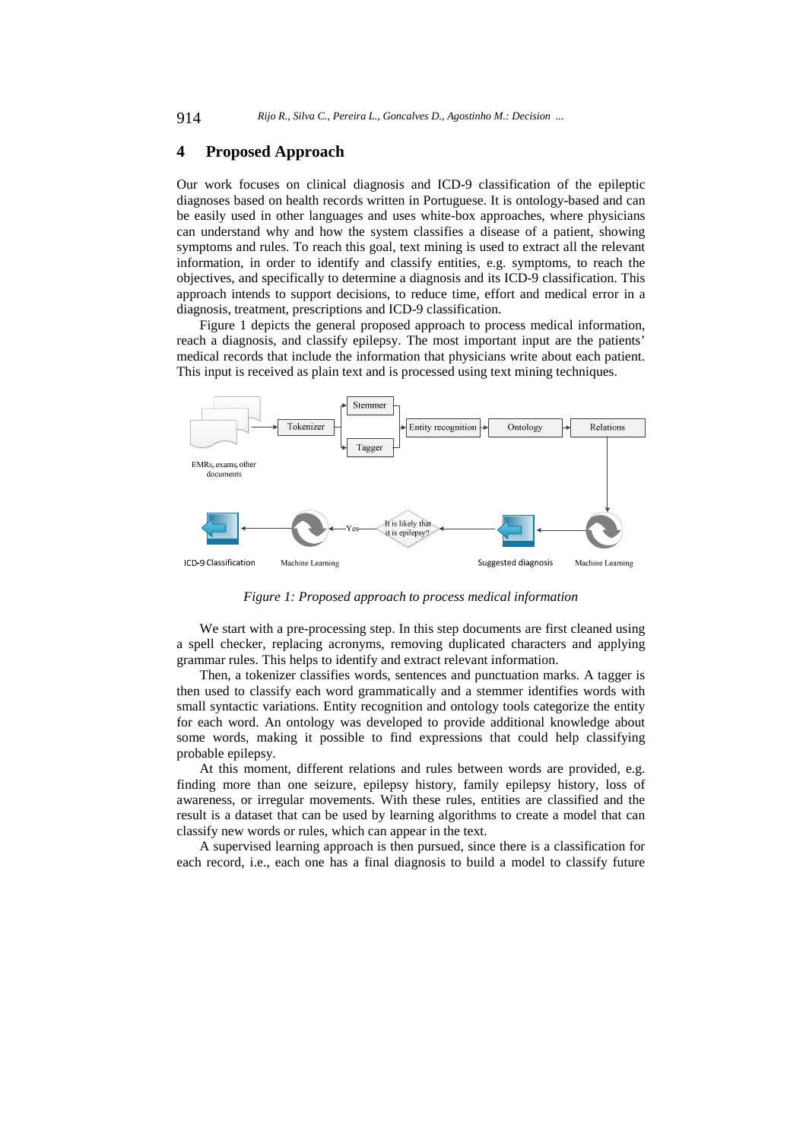### **4 Proposed Approach**

Our work focuses on clinical diagnosis and ICD-9 classification of the epileptic diagnoses based on health records written in Portuguese. It is ontology-based and can be easily used in other languages and uses white-box approaches, where physicians can understand why and how the system classifies a disease of a patient, showing symptoms and rules. To reach this goal, text mining is used to extract all the relevant information, in order to identify and classify entities, e.g. symptoms, to reach the objectives, and specifically to determine a diagnosis and its ICD-9 classification. This approach intends to support decisions, to reduce time, effort and medical error in a diagnosis, treatment, prescriptions and ICD-9 classification.

Figure 1 depicts the general proposed approach to process medical information, reach a diagnosis, and classify epilepsy. The most important input are the patients' medical records that include the information that physicians write about each patient. This input is received as plain text and is processed using text mining techniques.



*Figure 1: Proposed approach to process medical information* 

We start with a pre-processing step. In this step documents are first cleaned using a spell checker, replacing acronyms, removing duplicated characters and applying grammar rules. This helps to identify and extract relevant information.

Then, a tokenizer classifies words, sentences and punctuation marks. A tagger is then used to classify each word grammatically and a stemmer identifies words with small syntactic variations. Entity recognition and ontology tools categorize the entity for each word. An ontology was developed to provide additional knowledge about some words, making it possible to find expressions that could help classifying probable epilepsy.

At this moment, different relations and rules between words are provided, e.g. finding more than one seizure, epilepsy history, family epilepsy history, loss of awareness, or irregular movements. With these rules, entities are classified and the result is a dataset that can be used by learning algorithms to create a model that can classify new words or rules, which can appear in the text.

A supervised learning approach is then pursued, since there is a classification for each record, i.e., each one has a final diagnosis to build a model to classify future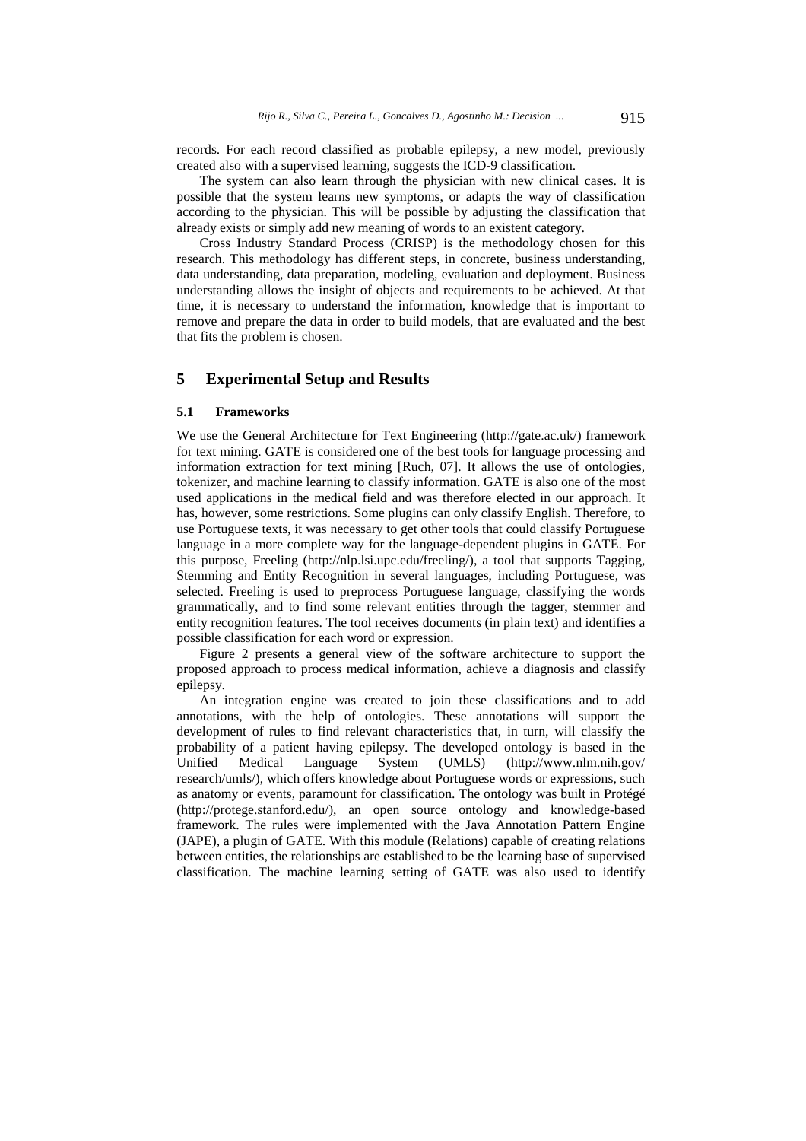records. For each record classified as probable epilepsy, a new model, previously created also with a supervised learning, suggests the ICD-9 classification.

The system can also learn through the physician with new clinical cases. It is possible that the system learns new symptoms, or adapts the way of classification according to the physician. This will be possible by adjusting the classification that already exists or simply add new meaning of words to an existent category.

Cross Industry Standard Process (CRISP) is the methodology chosen for this research. This methodology has different steps, in concrete, business understanding, data understanding, data preparation, modeling, evaluation and deployment. Business understanding allows the insight of objects and requirements to be achieved. At that time, it is necessary to understand the information, knowledge that is important to remove and prepare the data in order to build models, that are evaluated and the best that fits the problem is chosen.

# **5 Experimental Setup and Results**

### **5.1 Frameworks**

We use the General Architecture for Text Engineering (http://gate.ac.uk/) framework for text mining. GATE is considered one of the best tools for language processing and information extraction for text mining [Ruch, 07]. It allows the use of ontologies, tokenizer, and machine learning to classify information. GATE is also one of the most used applications in the medical field and was therefore elected in our approach. It has, however, some restrictions. Some plugins can only classify English. Therefore, to use Portuguese texts, it was necessary to get other tools that could classify Portuguese language in a more complete way for the language-dependent plugins in GATE. For this purpose, Freeling (http://nlp.lsi.upc.edu/freeling/), a tool that supports Tagging, Stemming and Entity Recognition in several languages, including Portuguese, was selected. Freeling is used to preprocess Portuguese language, classifying the words grammatically, and to find some relevant entities through the tagger, stemmer and entity recognition features. The tool receives documents (in plain text) and identifies a possible classification for each word or expression.

Figure 2 presents a general view of the software architecture to support the proposed approach to process medical information, achieve a diagnosis and classify epilepsy.

An integration engine was created to join these classifications and to add annotations, with the help of ontologies. These annotations will support the development of rules to find relevant characteristics that, in turn, will classify the probability of a patient having epilepsy. The developed ontology is based in the Unified Medical Language System (UMLS) (http://www.nlm.nih.gov/ research/umls/), which offers knowledge about Portuguese words or expressions, such as anatomy or events, paramount for classification. The ontology was built in Protégé (http://protege.stanford.edu/), an open source ontology and knowledge-based framework. The rules were implemented with the Java Annotation Pattern Engine (JAPE), a plugin of GATE. With this module (Relations) capable of creating relations between entities, the relationships are established to be the learning base of supervised classification. The machine learning setting of GATE was also used to identify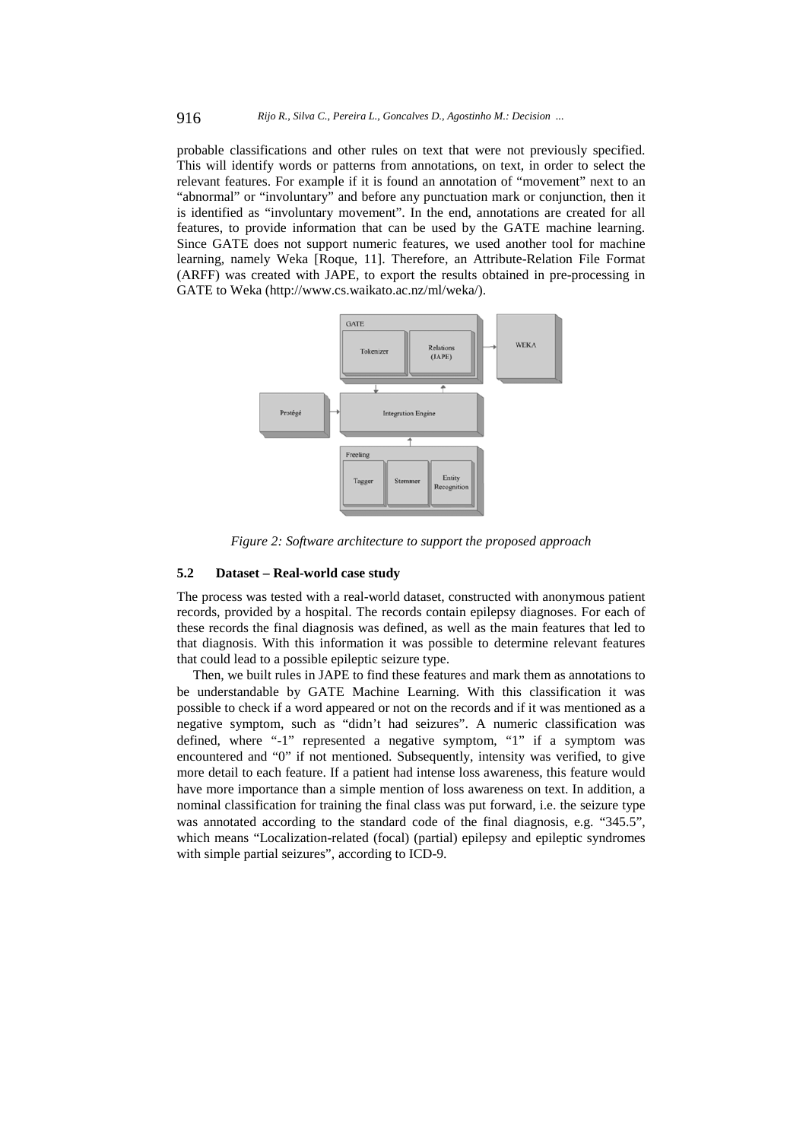probable classifications and other rules on text that were not previously specified. This will identify words or patterns from annotations, on text, in order to select the relevant features. For example if it is found an annotation of "movement" next to an "abnormal" or "involuntary" and before any punctuation mark or conjunction, then it is identified as "involuntary movement". In the end, annotations are created for all features, to provide information that can be used by the GATE machine learning. Since GATE does not support numeric features, we used another tool for machine learning, namely Weka [Roque, 11]. Therefore, an Attribute-Relation File Format (ARFF) was created with JAPE, to export the results obtained in pre-processing in GATE to Weka (http://www.cs.waikato.ac.nz/ml/weka/).



*Figure 2: Software architecture to support the proposed approach* 

#### **5.2 Dataset – Real-world case study**

The process was tested with a real-world dataset, constructed with anonymous patient records, provided by a hospital. The records contain epilepsy diagnoses. For each of these records the final diagnosis was defined, as well as the main features that led to that diagnosis. With this information it was possible to determine relevant features that could lead to a possible epileptic seizure type.

Then, we built rules in JAPE to find these features and mark them as annotations to be understandable by GATE Machine Learning. With this classification it was possible to check if a word appeared or not on the records and if it was mentioned as a negative symptom, such as "didn't had seizures". A numeric classification was defined, where "-1" represented a negative symptom, "1" if a symptom was encountered and "0" if not mentioned. Subsequently, intensity was verified, to give more detail to each feature. If a patient had intense loss awareness, this feature would have more importance than a simple mention of loss awareness on text. In addition, a nominal classification for training the final class was put forward, i.e. the seizure type was annotated according to the standard code of the final diagnosis, e.g. "345.5", which means "Localization-related (focal) (partial) epilepsy and epileptic syndromes with simple partial seizures", according to ICD-9.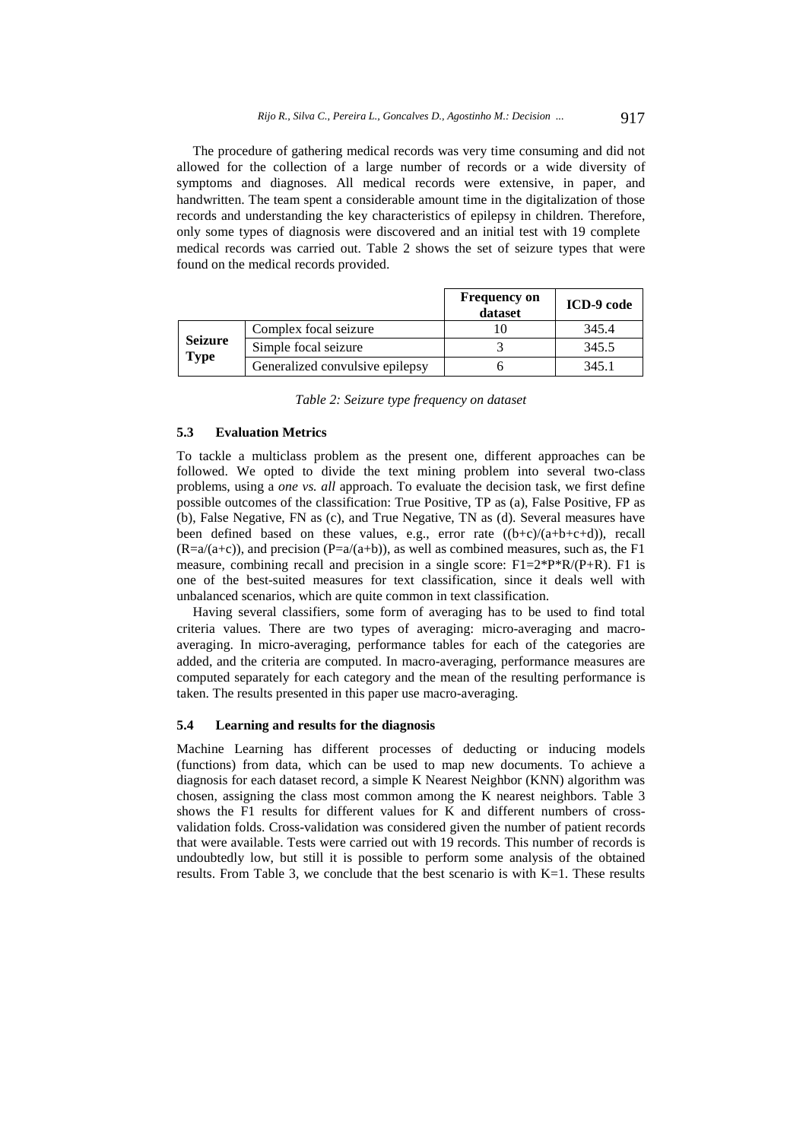The procedure of gathering medical records was very time consuming and did not allowed for the collection of a large number of records or a wide diversity of symptoms and diagnoses. All medical records were extensive, in paper, and handwritten. The team spent a considerable amount time in the digitalization of those records and understanding the key characteristics of epilepsy in children. Therefore, only some types of diagnosis were discovered and an initial test with 19 complete medical records was carried out. Table 2 shows the set of seizure types that were found on the medical records provided.

|                        |                                 | <b>Frequency on</b><br>dataset | ICD-9 code |
|------------------------|---------------------------------|--------------------------------|------------|
| <b>Seizure</b><br>Type | Complex focal seizure           |                                | 345.4      |
|                        | Simple focal seizure            |                                | 345.5      |
|                        | Generalized convulsive epilepsy |                                | 345.1      |

*Table 2: Seizure type frequency on dataset* 

#### **5.3 Evaluation Metrics**

To tackle a multiclass problem as the present one, different approaches can be followed. We opted to divide the text mining problem into several two-class problems, using a *one vs. all* approach. To evaluate the decision task, we first define possible outcomes of the classification: True Positive, TP as (a), False Positive, FP as (b), False Negative, FN as (c), and True Negative, TN as (d). Several measures have been defined based on these values, e.g., error rate ((b+c)/(a+b+c+d)), recall  $(R=a/(a+c))$ , and precision  $(P=a/(a+b))$ , as well as combined measures, such as, the F1 measure, combining recall and precision in a single score:  $F1=2*P*R/(P+R)$ . F1 is one of the best-suited measures for text classification, since it deals well with unbalanced scenarios, which are quite common in text classification.

Having several classifiers, some form of averaging has to be used to find total criteria values. There are two types of averaging: micro-averaging and macroaveraging. In micro-averaging, performance tables for each of the categories are added, and the criteria are computed. In macro-averaging, performance measures are computed separately for each category and the mean of the resulting performance is taken. The results presented in this paper use macro-averaging.

### **5.4 Learning and results for the diagnosis**

Machine Learning has different processes of deducting or inducing models (functions) from data, which can be used to map new documents. To achieve a diagnosis for each dataset record, a simple K Nearest Neighbor (KNN) algorithm was chosen, assigning the class most common among the K nearest neighbors. Table 3 shows the F1 results for different values for K and different numbers of crossvalidation folds. Cross-validation was considered given the number of patient records that were available. Tests were carried out with 19 records. This number of records is undoubtedly low, but still it is possible to perform some analysis of the obtained results. From Table 3, we conclude that the best scenario is with  $K=1$ . These results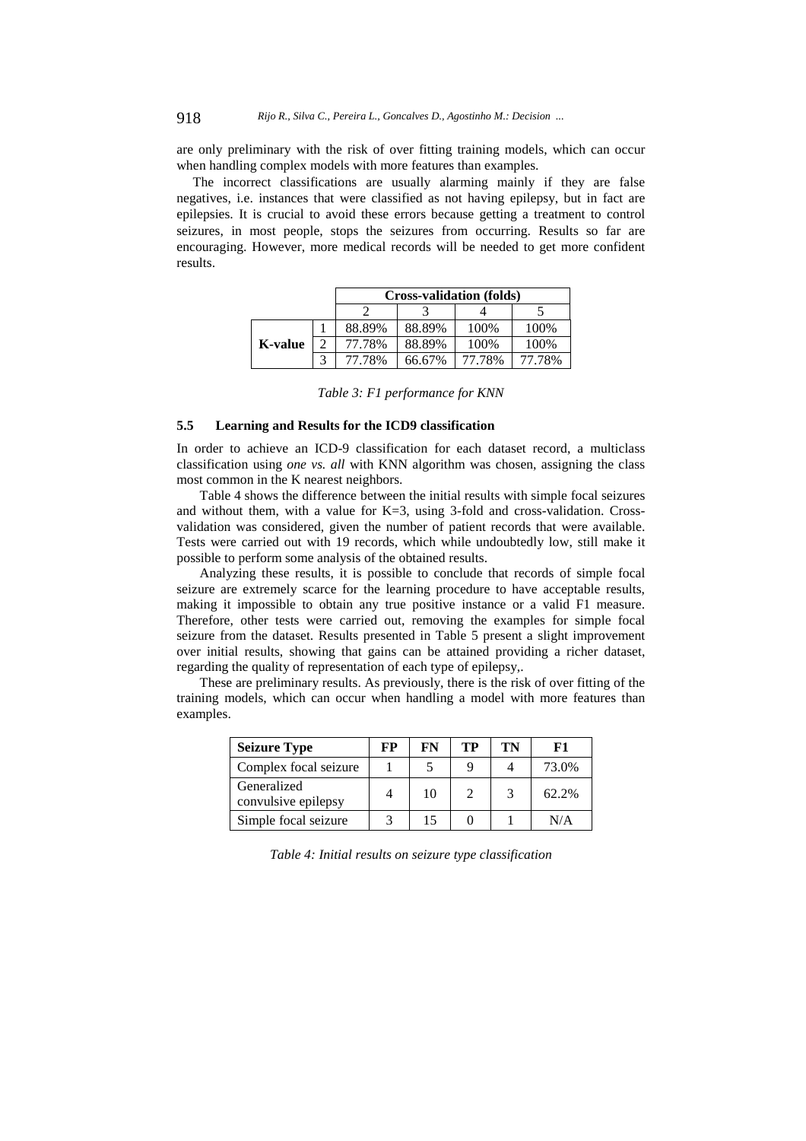are only preliminary with the risk of over fitting training models, which can occur when handling complex models with more features than examples.

The incorrect classifications are usually alarming mainly if they are false negatives, i.e. instances that were classified as not having epilepsy, but in fact are epilepsies. It is crucial to avoid these errors because getting a treatment to control seizures, in most people, stops the seizures from occurring. Results so far are encouraging. However, more medical records will be needed to get more confident results.

|         |  | <b>Cross-validation (folds)</b> |        |        |        |  |  |
|---------|--|---------------------------------|--------|--------|--------|--|--|
|         |  |                                 |        |        |        |  |  |
| K-value |  | 88.89%                          | 88.89% | 100%   | 100%   |  |  |
|         |  | 77.78%                          | 88.89% | 100%   | 100%   |  |  |
|         |  | 77.78%                          | 66.67% | 77.78% | 77.78% |  |  |

*Table 3: F1 performance for KNN* 

#### **5.5 Learning and Results for the ICD9 classification**

In order to achieve an ICD-9 classification for each dataset record, a multiclass classification using *one vs. all* with KNN algorithm was chosen, assigning the class most common in the K nearest neighbors.

Table 4 shows the difference between the initial results with simple focal seizures and without them, with a value for K=3, using 3-fold and cross-validation. Crossvalidation was considered, given the number of patient records that were available. Tests were carried out with 19 records, which while undoubtedly low, still make it possible to perform some analysis of the obtained results.

Analyzing these results, it is possible to conclude that records of simple focal seizure are extremely scarce for the learning procedure to have acceptable results, making it impossible to obtain any true positive instance or a valid F1 measure. Therefore, other tests were carried out, removing the examples for simple focal seizure from the dataset. Results presented in Table 5 present a slight improvement over initial results, showing that gains can be attained providing a richer dataset, regarding the quality of representation of each type of epilepsy,.

These are preliminary results. As previously, there is the risk of over fitting of the training models, which can occur when handling a model with more features than examples.

| <b>Seizure Type</b>                | FP | FN | TР | TN | F1    |
|------------------------------------|----|----|----|----|-------|
| Complex focal seizure              |    |    |    |    | 73.0% |
| Generalized<br>convulsive epilepsy |    | 10 |    | 3  | 62.2% |
| Simple focal seizure               |    | 15 |    |    | N/A   |

*Table 4: Initial results on seizure type classification*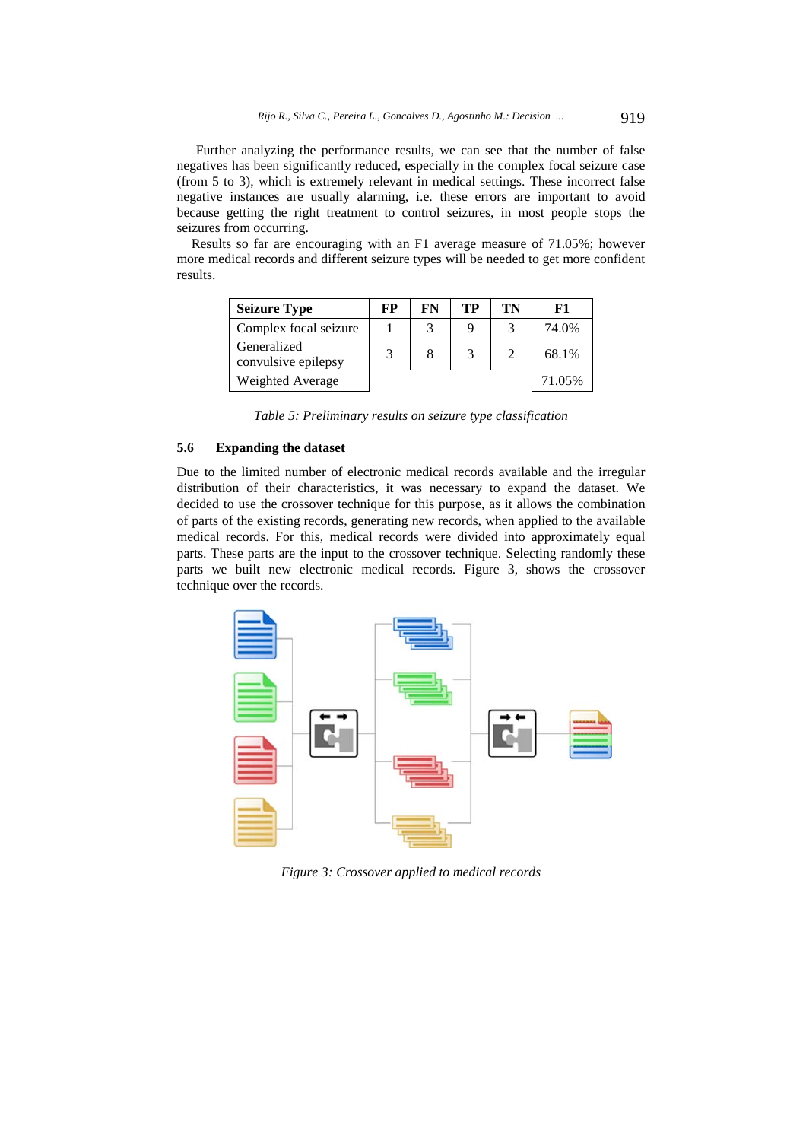Further analyzing the performance results, we can see that the number of false negatives has been significantly reduced, especially in the complex focal seizure case (from 5 to 3), which is extremely relevant in medical settings. These incorrect false negative instances are usually alarming, i.e. these errors are important to avoid because getting the right treatment to control seizures, in most people stops the seizures from occurring.

Results so far are encouraging with an F1 average measure of 71.05%; however more medical records and different seizure types will be needed to get more confident results.

| <b>Seizure Type</b>                | FP | FN | TР | TN | ${\bf F1}$ |
|------------------------------------|----|----|----|----|------------|
| Complex focal seizure              |    |    | Q  |    | 74.0%      |
| Generalized<br>convulsive epilepsy |    |    |    |    | 68.1%      |
| Weighted Average                   |    |    |    |    | 71.05%     |

*Table 5: Preliminary results on seizure type classification* 

### **5.6 Expanding the dataset**

Due to the limited number of electronic medical records available and the irregular distribution of their characteristics, it was necessary to expand the dataset. We decided to use the crossover technique for this purpose, as it allows the combination of parts of the existing records, generating new records, when applied to the available medical records. For this, medical records were divided into approximately equal parts. These parts are the input to the crossover technique. Selecting randomly these parts we built new electronic medical records. Figure 3, shows the crossover technique over the records.



*Figure 3: Crossover applied to medical records*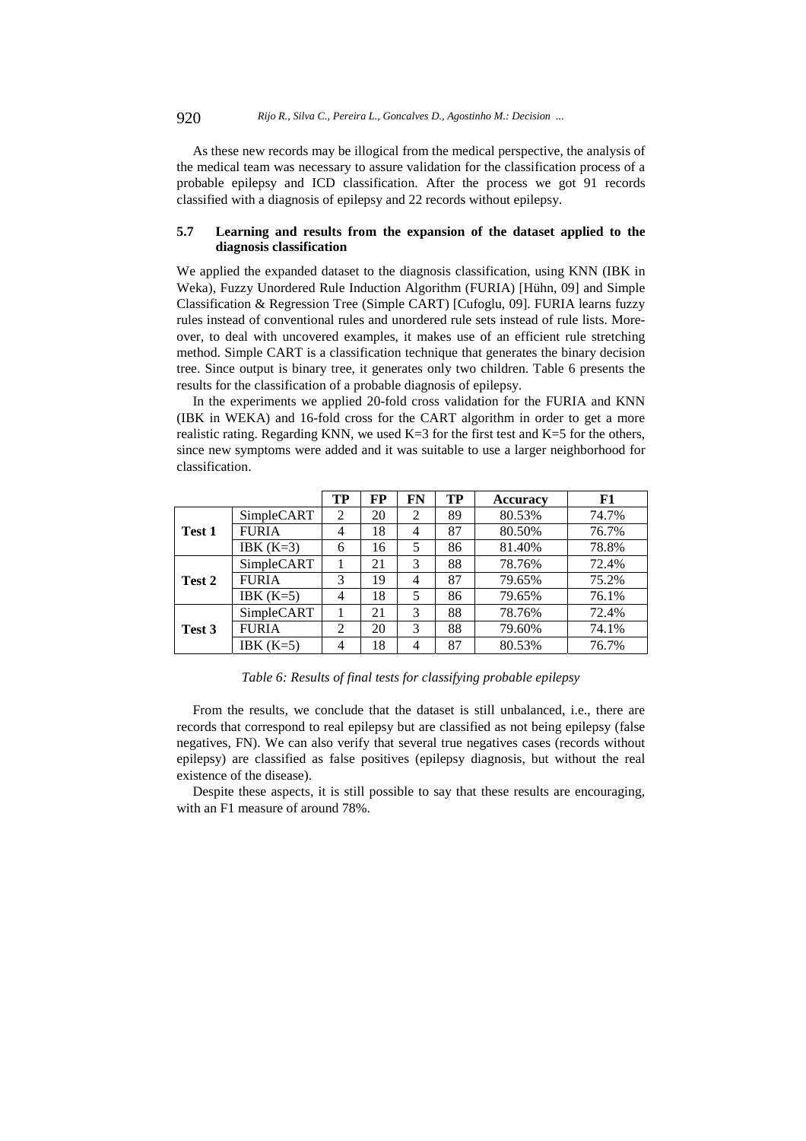As these new records may be illogical from the medical perspective, the analysis of the medical team was necessary to assure validation for the classification process of a probable epilepsy and ICD classification. After the process we got 91 records classified with a diagnosis of epilepsy and 22 records without epilepsy.

# **5.7 Learning and results from the expansion of the dataset applied to the diagnosis classification**

We applied the expanded dataset to the diagnosis classification, using KNN (IBK in Weka), Fuzzy Unordered Rule Induction Algorithm (FURIA) [Hühn, 09] and Simple Classification & Regression Tree (Simple CART) [Cufoglu, 09]. FURIA learns fuzzy rules instead of conventional rules and unordered rule sets instead of rule lists. Moreover, to deal with uncovered examples, it makes use of an efficient rule stretching method. Simple CART is a classification technique that generates the binary decision tree. Since output is binary tree, it generates only two children. Table 6 presents the results for the classification of a probable diagnosis of epilepsy.

In the experiments we applied 20-fold cross validation for the FURIA and KNN (IBK in WEKA) and 16-fold cross for the CART algorithm in order to get a more realistic rating. Regarding KNN, we used  $K=3$  for the first test and  $K=5$  for the others, since new symptoms were added and it was suitable to use a larger neighborhood for classification.

|        |              | TP             | <b>FP</b> | FN             | TP | <b>Accuracy</b> | F1    |
|--------|--------------|----------------|-----------|----------------|----|-----------------|-------|
| Test 1 | SimpleCART   | 2              | 20        | $\overline{c}$ | 89 | 80.53%          | 74.7% |
|        | <b>FURIA</b> | 4              | 18        | 4              | 87 | 80.50%          | 76.7% |
|        | IBK $(K=3)$  | 6              | 16        | 5              | 86 | 81.40%          | 78.8% |
| Test 2 | SimpleCART   |                | 21        | 3              | 88 | 78.76%          | 72.4% |
|        | <b>FURIA</b> | 3              | 19        | 4              | 87 | 79.65%          | 75.2% |
|        | IBK $(K=5)$  | 4              | 18        | 5              | 86 | 79.65%          | 76.1% |
| Test 3 | SimpleCART   |                | 21        | 3              | 88 | 78.76%          | 72.4% |
|        | <b>FURIA</b> | $\overline{2}$ | 20        | 3              | 88 | 79.60%          | 74.1% |
|        | IBK $(K=5)$  | 4              | 18        | $\overline{4}$ | 87 | 80.53%          | 76.7% |

*Table 6: Results of final tests for classifying probable epilepsy* 

From the results, we conclude that the dataset is still unbalanced, i.e., there are records that correspond to real epilepsy but are classified as not being epilepsy (false negatives, FN). We can also verify that several true negatives cases (records without epilepsy) are classified as false positives (epilepsy diagnosis, but without the real existence of the disease).

Despite these aspects, it is still possible to say that these results are encouraging, with an F1 measure of around 78%.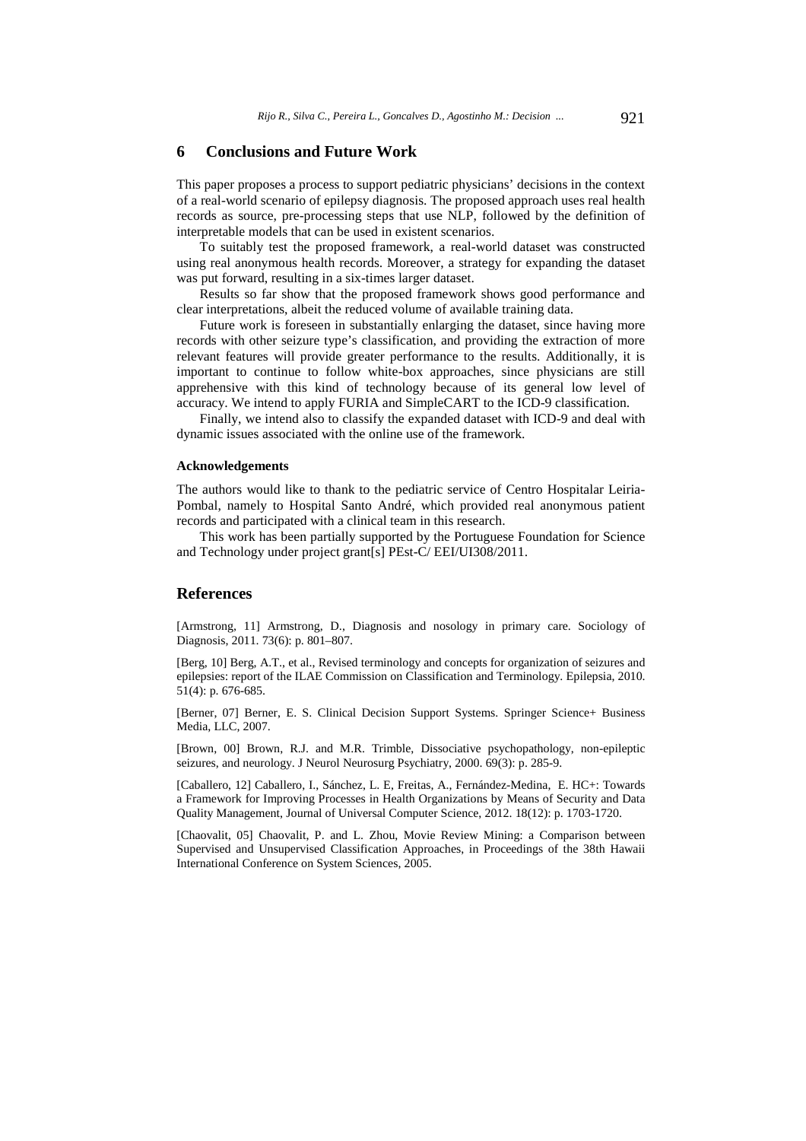# **6 Conclusions and Future Work**

This paper proposes a process to support pediatric physicians' decisions in the context of a real-world scenario of epilepsy diagnosis. The proposed approach uses real health records as source, pre-processing steps that use NLP, followed by the definition of interpretable models that can be used in existent scenarios.

To suitably test the proposed framework, a real-world dataset was constructed using real anonymous health records. Moreover, a strategy for expanding the dataset was put forward, resulting in a six-times larger dataset.

Results so far show that the proposed framework shows good performance and clear interpretations, albeit the reduced volume of available training data.

Future work is foreseen in substantially enlarging the dataset, since having more records with other seizure type's classification, and providing the extraction of more relevant features will provide greater performance to the results. Additionally, it is important to continue to follow white-box approaches, since physicians are still apprehensive with this kind of technology because of its general low level of accuracy. We intend to apply FURIA and SimpleCART to the ICD-9 classification.

Finally, we intend also to classify the expanded dataset with ICD-9 and deal with dynamic issues associated with the online use of the framework.

### **Acknowledgements**

The authors would like to thank to the pediatric service of Centro Hospitalar Leiria-Pombal, namely to Hospital Santo André, which provided real anonymous patient records and participated with a clinical team in this research.

This work has been partially supported by the Portuguese Foundation for Science and Technology under project grant[s] PEst-C/ EEI/UI308/2011.

### **References**

[Armstrong, 11] Armstrong, D., Diagnosis and nosology in primary care. Sociology of Diagnosis, 2011. 73(6): p. 801–807.

[Berg, 10] Berg, A.T., et al., Revised terminology and concepts for organization of seizures and epilepsies: report of the ILAE Commission on Classification and Terminology. Epilepsia, 2010. 51(4): p. 676-685.

[Berner, 07] Berner, E. S. Clinical Decision Support Systems. Springer Science+ Business Media, LLC, 2007.

[Brown, 00] Brown, R.J. and M.R. Trimble, Dissociative psychopathology, non-epileptic seizures, and neurology. J Neurol Neurosurg Psychiatry, 2000. 69(3): p. 285-9.

[Caballero, 12] Caballero, I., Sánchez, L. E, Freitas, A., Fernández-Medina, E. HC+: Towards a Framework for Improving Processes in Health Organizations by Means of Security and Data Quality Management, Journal of Universal Computer Science, 2012. 18(12): p. 1703-1720.

[Chaovalit, 05] Chaovalit, P. and L. Zhou, Movie Review Mining: a Comparison between Supervised and Unsupervised Classification Approaches, in Proceedings of the 38th Hawaii International Conference on System Sciences, 2005.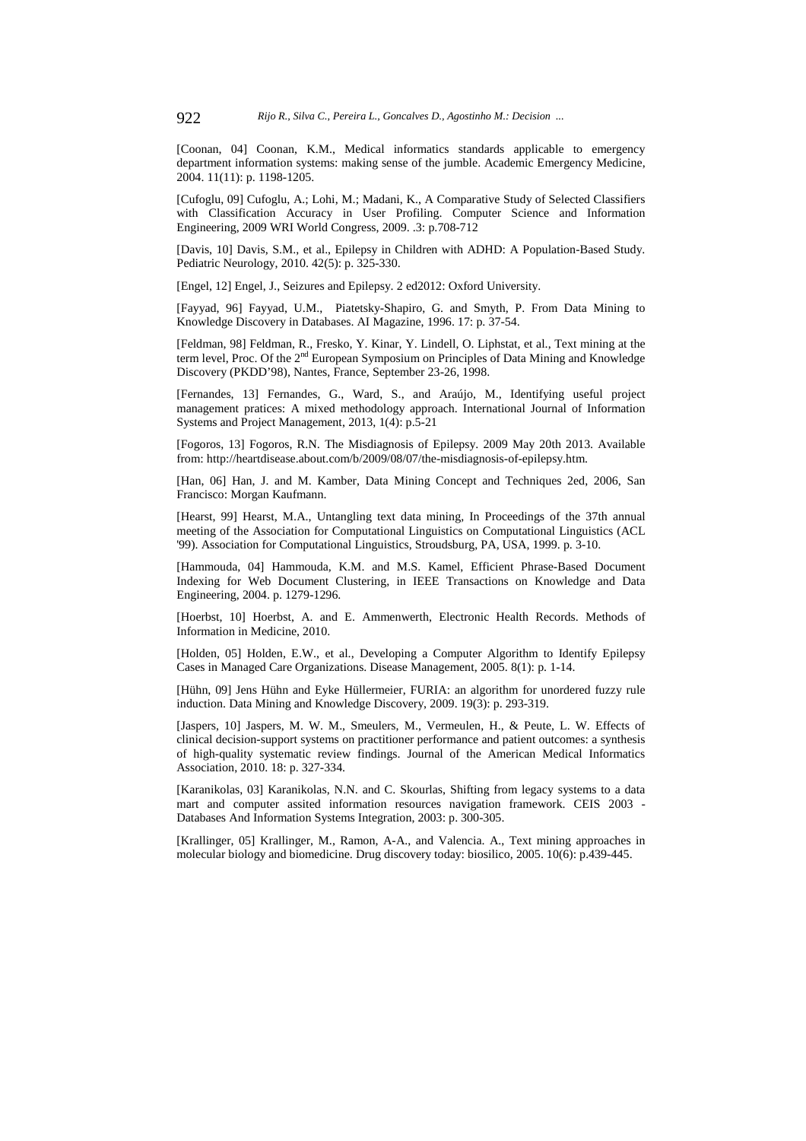[Coonan, 04] Coonan, K.M., Medical informatics standards applicable to emergency department information systems: making sense of the jumble. Academic Emergency Medicine, 2004. 11(11): p. 1198-1205.

[Cufoglu, 09] Cufoglu, A.; Lohi, M.; Madani, K., A Comparative Study of Selected Classifiers with Classification Accuracy in User Profiling. Computer Science and Information Engineering, 2009 WRI World Congress, 2009. .3: p.708-712

[Davis, 10] Davis, S.M., et al., Epilepsy in Children with ADHD: A Population-Based Study. Pediatric Neurology, 2010. 42(5): p. 325-330.

[Engel, 12] Engel, J., Seizures and Epilepsy. 2 ed2012: Oxford University.

[Fayyad, 96] Fayyad, U.M., Piatetsky-Shapiro, G. and Smyth, P. From Data Mining to Knowledge Discovery in Databases. AI Magazine, 1996. 17: p. 37-54.

[Feldman, 98] Feldman, R., Fresko, Y. Kinar, Y. Lindell, O. Liphstat, et al., Text mining at the term level, Proc. Of the 2<sup>nd</sup> European Symposium on Principles of Data Mining and Knowledge Discovery (PKDD'98), Nantes, France, September 23-26, 1998.

[Fernandes, 13] Fernandes, G., Ward, S., and Araújo, M., Identifying useful project management pratices: A mixed methodology approach. International Journal of Information Systems and Project Management, 2013, 1(4): p.5-21

[Fogoros, 13] Fogoros, R.N. The Misdiagnosis of Epilepsy. 2009 May 20th 2013. Available from: http://heartdisease.about.com/b/2009/08/07/the-misdiagnosis-of-epilepsy.htm.

[Han, 06] Han, J. and M. Kamber, Data Mining Concept and Techniques 2ed, 2006, San Francisco: Morgan Kaufmann.

[Hearst, 99] Hearst, M.A., Untangling text data mining, In Proceedings of the 37th annual meeting of the Association for Computational Linguistics on Computational Linguistics (ACL '99). Association for Computational Linguistics, Stroudsburg, PA, USA, 1999. p. 3-10.

[Hammouda, 04] Hammouda, K.M. and M.S. Kamel, Efficient Phrase-Based Document Indexing for Web Document Clustering, in IEEE Transactions on Knowledge and Data Engineering, 2004. p. 1279-1296.

[Hoerbst, 10] Hoerbst, A. and E. Ammenwerth, Electronic Health Records. Methods of Information in Medicine, 2010.

[Holden, 05] Holden, E.W., et al., Developing a Computer Algorithm to Identify Epilepsy Cases in Managed Care Organizations. Disease Management, 2005. 8(1): p. 1-14.

[Hühn, 09] Jens Hühn and Eyke Hüllermeier, FURIA: an algorithm for unordered fuzzy rule induction. Data Mining and Knowledge Discovery, 2009. 19(3): p. 293-319.

[Jaspers, 10] Jaspers, M. W. M., Smeulers, M., Vermeulen, H., & Peute, L. W. Effects of clinical decision-support systems on practitioner performance and patient outcomes: a synthesis of high-quality systematic review findings. Journal of the American Medical Informatics Association, 2010. 18: p. 327-334.

[Karanikolas, 03] Karanikolas, N.N. and C. Skourlas, Shifting from legacy systems to a data mart and computer assited information resources navigation framework. CEIS 2003 - Databases And Information Systems Integration, 2003: p. 300-305.

[Krallinger, 05] Krallinger, M., Ramon, A-A., and Valencia. A., Text mining approaches in molecular biology and biomedicine. Drug discovery today: biosilico, 2005. 10(6): p.439-445.